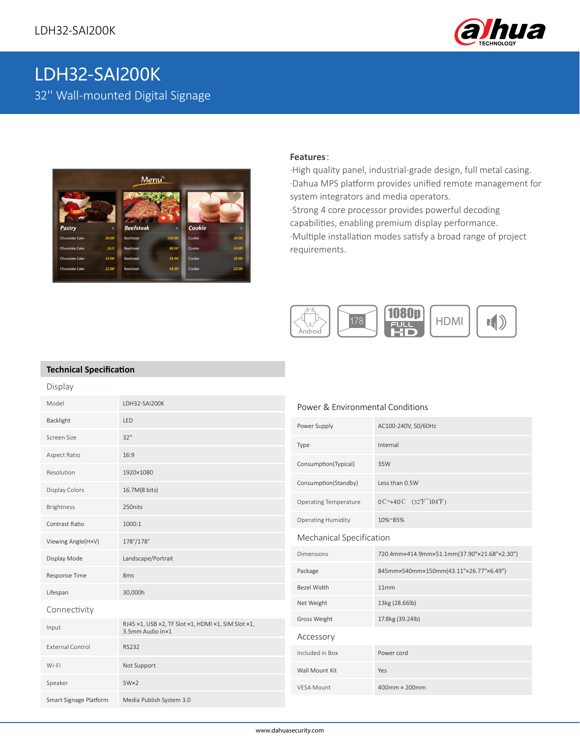

# LDH32-SAI200K 32'' Wall-mounted Digital Signage



### **Features**:

·High quality panel, industrial-grade design, full metal casing. ·Dahua MPS platform provides unified remote management for system integrators and media operators. ·Strong 4 core processor provides powerful decoding capabilities, enabling premium display performance. ·Multiple installation modes satisfy a broad range of project requirements.



### **Technical Specification**

| Display                 |                                                                        |                                  |                                                                       |
|-------------------------|------------------------------------------------------------------------|----------------------------------|-----------------------------------------------------------------------|
| Model                   | LDH32-SAI200K                                                          | Power & Environmental Conditions |                                                                       |
| Backlight               | LED                                                                    | Power Supply                     | AC100-240V, 50/60Hz                                                   |
| Screen Size             | 32"                                                                    | Type                             | Internal                                                              |
| Aspect Ratio            | 16:9                                                                   | Consumption(Typical)             | 35W                                                                   |
| Resolution              | 1920×1080                                                              |                                  |                                                                       |
| <b>Display Colors</b>   | 16.7M(8 bits)                                                          | Consumption(Standby)             | Less than 0.5W                                                        |
| Brightness              | 250nits                                                                | <b>Operating Temperature</b>     | $0^{\circ}$ +40°C $(32^{\circ}$ F <sup><math>\sim</math></sup> 104°F) |
| Contrast Ratio          | 1000:1                                                                 | <b>Operating Humidity</b>        | 10%~85%                                                               |
| Viewing Angle(HxV)      | 178°/178°                                                              | Mechanical Specification         |                                                                       |
| Display Mode            | Landscape/Portrait                                                     | <b>Dimensions</b>                | 720.4mm×414.9mm×51.1mm(37.90"×21.68"×2.30")                           |
| Response Time           | 8 <sub>ms</sub>                                                        | Package                          | 845mm×540mm×150mm(43.11"×26.77"×6.49")                                |
| Lifespan                | 30,000h                                                                | Bezel Width                      | 11mm                                                                  |
| Connectivity            |                                                                        | Net Weight                       | 13kg (28.66lb)                                                        |
| Input                   | RJ45 x1, USB x2, TF Slot x1, HDMI x1, SIM Slot x1,<br>3.5mm Audio Inx1 | Gross Weight                     | 17.8kg (39.24lb)                                                      |
| <b>External Control</b> | <b>RS232</b>                                                           | Accessory                        |                                                                       |
|                         |                                                                        | Included in Box                  | Power cord                                                            |
| Wi-Fi                   | Not Support                                                            | Wall Mount Kit                   | Yes                                                                   |
| Speaker                 | $5W\times2$                                                            | <b>VESA Mount</b>                | 400mm × 200mm                                                         |
| Smart Signage Platform  | Media Publish System 3.0                                               |                                  |                                                                       |